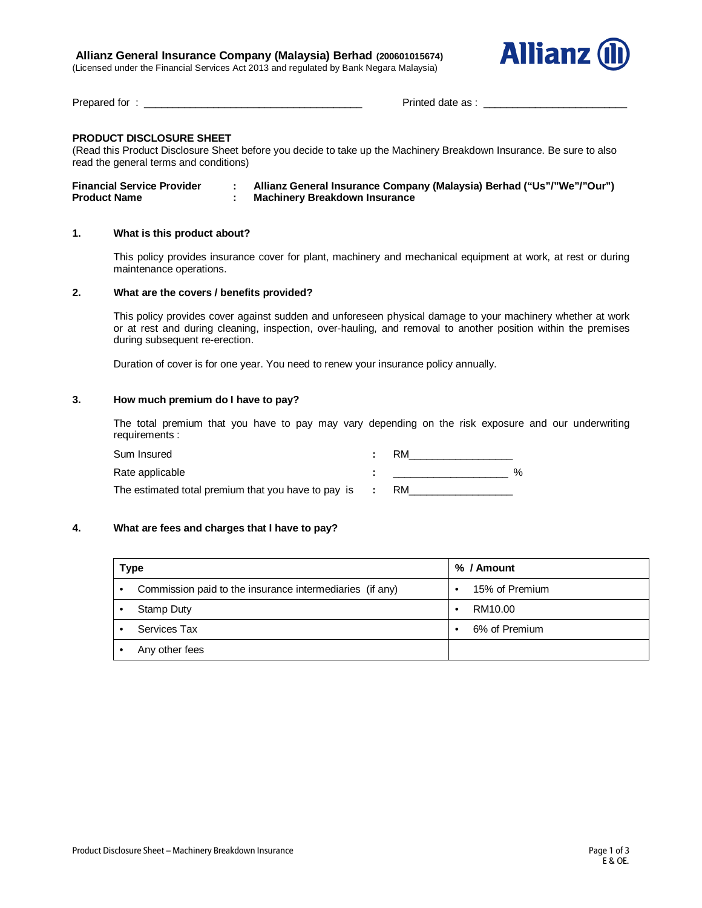# **Allianz General Insurance Company (Malaysia) Berhad (200601015674)**

(Licensed under the Financial Services Act 2013 and regulated by Bank Negara Malaysia)



Prepared for : \_\_\_\_\_\_\_\_\_\_\_\_\_\_\_\_\_\_\_\_\_\_\_\_\_\_\_\_\_\_\_\_\_\_\_\_\_\_ Printed date as : \_\_\_\_\_\_\_\_\_\_\_\_\_\_\_\_\_\_\_\_\_\_\_\_\_

# **PRODUCT DISCLOSURE SHEET**

(Read this Product Disclosure Sheet before you decide to take up the Machinery Breakdown Insurance. Be sure to also read the general terms and conditions)

| <b>Financial Service Provider</b> | Allianz General Insurance Company (Malaysia) Berhad ("Us"/"We"/"Our") |
|-----------------------------------|-----------------------------------------------------------------------|
| <b>Product Name</b>               | <b>Machinery Breakdown Insurance</b>                                  |

## **1. What is this product about?**

This policy provides insurance cover for plant, machinery and mechanical equipment at work, at rest or during maintenance operations.

#### **2. What are the covers / benefits provided?**

This policy provides cover against sudden and unforeseen physical damage to your machinery whether at work or at rest and during cleaning, inspection, over-hauling, and removal to another position within the premises during subsequent re-erection.

Duration of cover is for one year. You need to renew your insurance policy annually.

#### **3. How much premium do I have to pay?**

The total premium that you have to pay may vary depending on the risk exposure and our underwriting requirements :

| Sum Insured                                         | RM |
|-----------------------------------------------------|----|
| Rate applicable                                     | %  |
| The estimated total premium that you have to pay is |    |

#### **4. What are fees and charges that I have to pay?**

| Type                                                     | % / Amount     |  |
|----------------------------------------------------------|----------------|--|
| Commission paid to the insurance intermediaries (if any) | 15% of Premium |  |
| Stamp Duty                                               | RM10.00        |  |
| Services Tax                                             | 6% of Premium  |  |
| Any other fees                                           |                |  |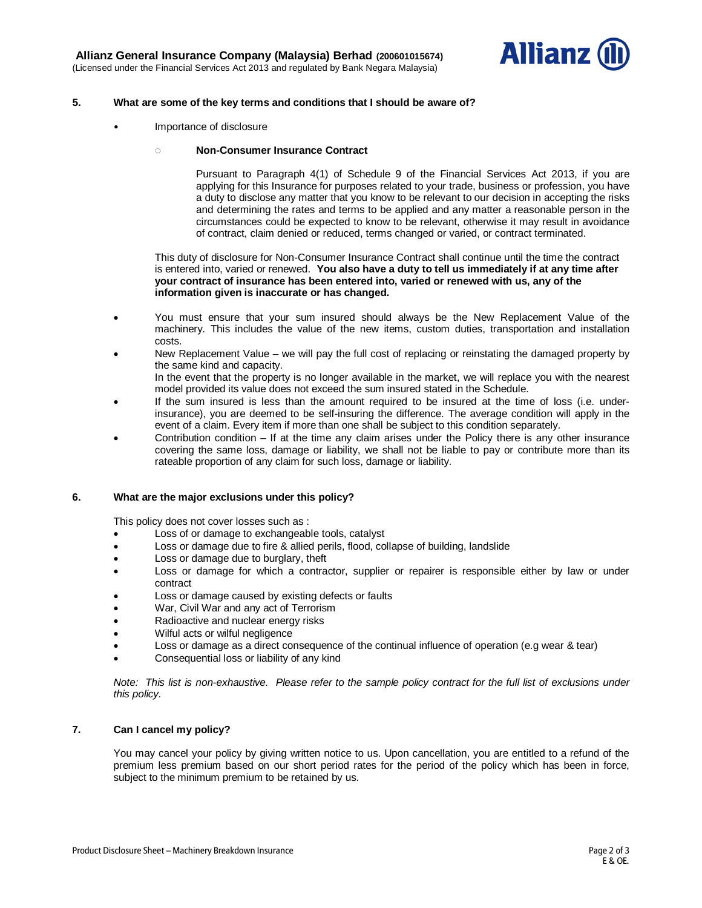

## **5. What are some of the key terms and conditions that I should be aware of?**

• Importance of disclosure

## **◌ Non-Consumer Insurance Contract**

Pursuant to Paragraph 4(1) of Schedule 9 of the Financial Services Act 2013, if you are applying for this Insurance for purposes related to your trade, business or profession, you have a duty to disclose any matter that you know to be relevant to our decision in accepting the risks and determining the rates and terms to be applied and any matter a reasonable person in the circumstances could be expected to know to be relevant, otherwise it may result in avoidance of contract, claim denied or reduced, terms changed or varied, or contract terminated.

This duty of disclosure for Non-Consumer Insurance Contract shall continue until the time the contract is entered into, varied or renewed. **You also have a duty to tell us immediately if at any time after your contract of insurance has been entered into, varied or renewed with us, any of the information given is inaccurate or has changed.**

- You must ensure that your sum insured should always be the New Replacement Value of the machinery. This includes the value of the new items, custom duties, transportation and installation costs.
- New Replacement Value we will pay the full cost of replacing or reinstating the damaged property by the same kind and capacity.

In the event that the property is no longer available in the market, we will replace you with the nearest model provided its value does not exceed the sum insured stated in the Schedule.

- If the sum insured is less than the amount required to be insured at the time of loss (i.e. underinsurance), you are deemed to be self-insuring the difference. The average condition will apply in the event of a claim. Every item if more than one shall be subject to this condition separately.
- Contribution condition  $-$  If at the time any claim arises under the Policy there is any other insurance covering the same loss, damage or liability, we shall not be liable to pay or contribute more than its rateable proportion of any claim for such loss, damage or liability.

# **6. What are the major exclusions under this policy?**

This policy does not cover losses such as :

- Loss of or damage to exchangeable tools, catalyst
- Loss or damage due to fire & allied perils, flood, collapse of building, landslide
- Loss or damage due to burglary, theft
- Loss or damage for which a contractor, supplier or repairer is responsible either by law or under contract
- Loss or damage caused by existing defects or faults
- War, Civil War and any act of Terrorism
- Radioactive and nuclear energy risks
- Wilful acts or wilful negligence
- Loss or damage as a direct consequence of the continual influence of operation (e.g wear & tear)
- Consequential loss or liability of any kind

*Note: This list is non-exhaustive. Please refer to the sample policy contract for the full list of exclusions under this policy.*

# **7. Can I cancel my policy?**

You may cancel your policy by giving written notice to us. Upon cancellation, you are entitled to a refund of the premium less premium based on our short period rates for the period of the policy which has been in force, subject to the minimum premium to be retained by us.